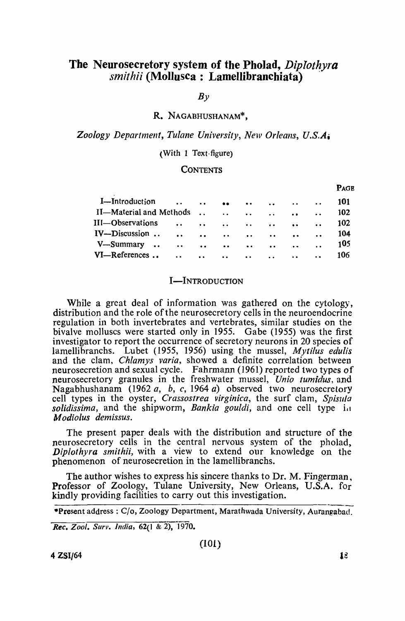# The Neurosecretory system of the Pholad, Diplothyra *smithii* (Mollusca: Lamellibranchiata)

 $B<sub>V</sub>$ 

### R. NAGABHUSHANAM\*,

Zoology Department, Tulane University, New Orleans, U.S.A<sub>i</sub>

#### (With 1 Text-figure)

#### **CONTENTS**

|                                          |                                      |                                                                                     |             |                                                |                                 |                      | <b>PAGE</b> |
|------------------------------------------|--------------------------------------|-------------------------------------------------------------------------------------|-------------|------------------------------------------------|---------------------------------|----------------------|-------------|
| I-Introduction                           | $\bullet$ $\bullet$<br>$\sim$ $\sim$ | $\bullet\bullet$                                                                    | $\bullet$ . |                                                | $\mathbf{r}$ , and $\mathbf{r}$ | $\cdots$             | 101         |
| II—Material and Methods                  |                                      |                                                                                     |             |                                                |                                 | $\ddot{\phantom{a}}$ | 102         |
| III-Observations<br>$\ddot{\phantom{a}}$ | $\cdots$                             | $\sim$ $\sim$                                                                       |             |                                                |                                 | $\ddot{\phantom{a}}$ | 102         |
| IV-Discussion                            |                                      | $\bullet \bullet$ and $\bullet \bullet$ and $\bullet \bullet$ and $\bullet \bullet$ |             |                                                |                                 |                      | 104         |
| V-Summary<br>$\ddot{\phantom{a}}$        |                                      | and the second and second                                                           |             |                                                |                                 |                      | 105         |
| VI—References<br>$\ddot{\phantom{a}}$    | $\ddotsc$                            | $\ddotsc$                                                                           | $\cdot$ .   | $\mathbf{r}$ and $\mathbf{r}$ and $\mathbf{r}$ |                                 | $\ddot{\phantom{0}}$ | 106         |
|                                          |                                      |                                                                                     |             |                                                |                                 |                      |             |

#### I-INTRODUCTION

While a great deal of information was gathered on the cytology, distribution and the role of the neurosecretory cells in the neuroendocrine regulation in both invertebrates and vertebrates, similar studies on the bivalve molluscs were started only in 1955. Gabe (1955) was the first investigator to report the occurrence of secretory neurons in 20 species of lamellihranchs. Lubet (1955, 1956) using the mussel, *Mytilus edulis*  and the clam, *Chlamys varia,* showed a definite correlation between neurosecretion and sexual cycle. Fahrmann (1961) reported two types of neurosecretory granules in the freshwater mussel, *Unio tumidus,* and Nagabhushanam (1962 *0,* b, c, 1964 a) observed two neurosecretory cell types in the oyster, *Crassostrea virginica*, the surf clam, Spisula *solidissima*, and the shipworm, *Bankia gouldi*, and one cell type in *Modiolus demissus.* 

The present paper deals with the distribution and structure of the neurosecretory cells in the central nervous system of the pholad, *Diplothyra smithii,* with a view to extend our knowledge on the phenomenon of neurosecretion in the lamellibranchs.

The author wishes to express his sincere thanks to Dr. M. Fingerman, Professor of Zoology, Tulane University, New Orleans, U.S.A. for kindly providing facilities to carry out this investigation.

*Rec. Zool. Surv. India, 62(1 & 2), 1970.* 

<sup>\*</sup>Present address: C/o, Zoology Department, Marathwada University, Aurangabad.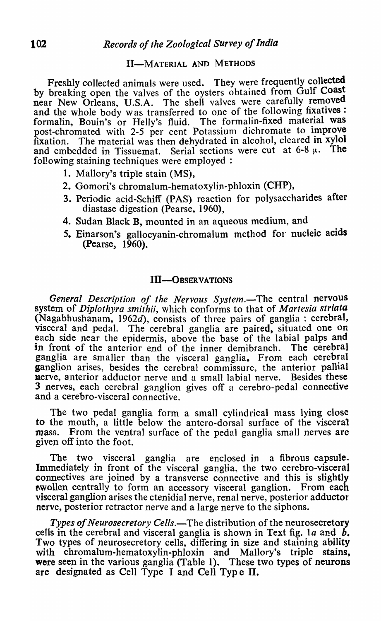# II-MATERIAL AND METHODS

Freshly collected animals were used. They were frequently collected by breaking open the valves of the oysters obtained from Gulf Coast near New Orleans, U.S.A. The shell valves were carefully removed and the whole body was transferred to one of the following fixatives : formalin, Bouin's or Helly's fluid. The formalin-fixed material was post-chromated with 2-5 per cent Potassium dichromate to improve fixation. The material was then dehydrated in alcohol, cleared in xylol and embedded in Tissuemat. Serial sections were cut at 6-8  $\mu$ . following staining techniques were employed:

- 1. Mallory's triple stain (MS),
- 2. Gomori's chromalum-hematoxylin-phloxin (CHP),
- 3. Periodic acid-Schiff (PAS) reaction for polysaccharides after diastase digestion (Pearse, 1960),
- 4. Sudan Black B, mounted in an aqueous medium, and
- 5. Einarson's gallocyanin-chromalum method for nucleic acids (Pearse, 1960).

### III-OBSERVATIONS

General Description of the Nervous System.—The central nervous system of *Diplothyra smithii,* which conforms to that of *Martesia striata*  (Nagabhushanam, 1962d), consists of three pairs of ganglia: cerebral, visceral and pedal. The cerebral ganglia are paired, situated one on each side near the epidermis, above the base of the labial palps and in front of the anterior end of the inner demibranch. The cerebral ganglia are smaller than the visceral ganglia. From each cerebral ganglion arises, besides the cerebral commissure, the anterior pallial nerve, anterior adductor nerve and a small labial nerve. Besides these nerve, anterior adductor nerve and a small labial nerve. 3 nerves, each cerebral ganglion gives off a cerebro-pedal connective and a cerebro-visceral connective.

The two pedal ganglia form a small cylindrical mass lying close to the mouth, a little below the antero-dorsal surface of the visceral mass. From the ventral surface of the pedal ganglia small nerves are given off into the foot.

The two visceral ganglia are enclosed in a fibrous capsule. Immediately in front of the visceral ganglia, the two cerebro-visceral connectives are joined by a transverse connective and this is slightly wollen centrally to form an accessory visceral ganglion. From each visceral ganglion arises the ctenidial nerve, renal nerve, posterior adductor nerve, posterior retractor nerve and a large nerve to the siphons.

*Types of Neurosecretory Cells.*—The distribution of the neurosecretory cells in the cerebral and visceral ganglia is shown in Text fig. *la* and *b.*  Two types of neurosecretory cells, differing in size and staining ability with chromalum-hematoxylin-phloxin and Mallory's triple stains, were seen in the various ganglia (Table 1). These two types of neurons are designated as Cell Type I and Cell Type II.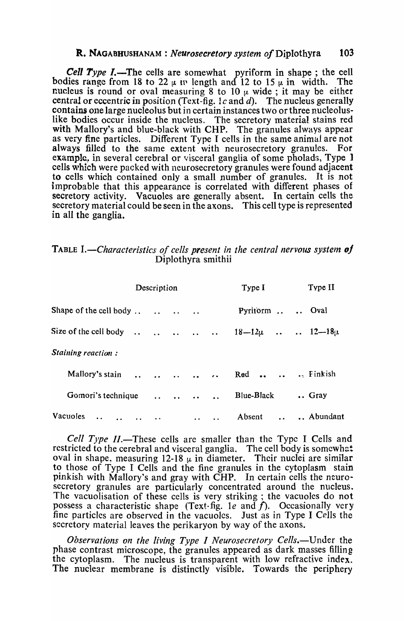### R. NAGABHUSHANAM : *Neurosecretory system of* Diplothyra 103

**Cell Type I.—The cells are somewhat pyriform in shape; the cell** bodies range from 18 to 22  $\mu$  in length and 12 to 15  $\mu$  in width. The nucleus is round or oval measuring 8 to 10  $\mu$  wide; it may be either central or eccentric in position (Text-fig. 1c and d). The nucleus generally contains one large nucleolus but in certain instances two or three nucleoluslike bodies occur inside the nucleus. The secretory material stains red with Mallory's and blue-black with CHP. The granules always appear as very fine particles. Different Type I cells in the same animal are not always filled to the same extent with neurosecretory granules. For example. in several cerebral or visceral ganglia of some pholads, Type 1 cells which were packed with neurosecretory granules were found adjacent to cells which contained only a small number of granules. It is not improbable that this appearance is correlated with different phases of secretory activity. Vacuoles are generally absent. In certain cells the secretory material could be seen in the axons. This cell type is represented in all the ganglia.

### TABLE I.—Characteristics of cells present in the central nervous system of Diplothyra smithii

|                                               | Description                           |                      | Type I                                                       | Type II              |
|-----------------------------------------------|---------------------------------------|----------------------|--------------------------------------------------------------|----------------------|
| Shape of the cell body                        |                                       | $\ddot{\phantom{a}}$ | Pyritorm                                                     | Oval                 |
| Size of the cell body<br>$\ddot{\phantom{a}}$ | $\ddot{\phantom{a}}$<br>$\sim$ $\sim$ | $\ddot{\phantom{a}}$ | $18 - 12\mu$<br>$\ddot{\phantom{a}}$<br>$\ddot{\phantom{a}}$ | $\ldots$ 12-18 $\mu$ |
| Staining reaction:                            |                                       |                      |                                                              |                      |
| Mallory's stain<br>$\ddot{\phantom{a}}$       |                                       |                      | Red<br>$\ddot{\phantom{a}}$                                  | $\cdot$ , Finkish    |
| Gomori's technique                            | $\ddot{\phantom{a}}$                  |                      | <b>Blue-Black</b>                                            | Gray                 |
| Vacuoles<br>$\ddot{\phantom{a}}$              | $\ddot{\bullet}$                      | $\bullet$            | Absent                                                       | Abundant             |

*Cell Type II.*-These cells are smaller than the Type I Cells and restricted to the cerebral and visceral ganglia. The cell body is somewhat oval in shape, measuring 12-18  $\mu$  in diameter. Their nuclei are similar to those of Type I Cells and the fine granules in the cytoplasm stain pinkish with Mallory'S and gray with CHP. In certain cells the neurosecretory granules are particularly concentrated around the nucleus. The vacuolisation of these cells is very striking ; the vacuoles do not possess a characteristic shape (Text-fig. Ie and *f).* Occasionaily very fine particles are observed in the vacuoles. Just as in Type I Cells the secretory material leaves the perikaryon by way of the axons.

*Observations on the living Type* I *Neurosecretory Cells.-Under* the phase contrast microscope, the granules appeared as dark masses filling the cytoplasm. The nucleus is transparent with low refractive index. The nucleus is transparent with low refractive index. The nuclear membrane is distinctly visible. Towards the periphery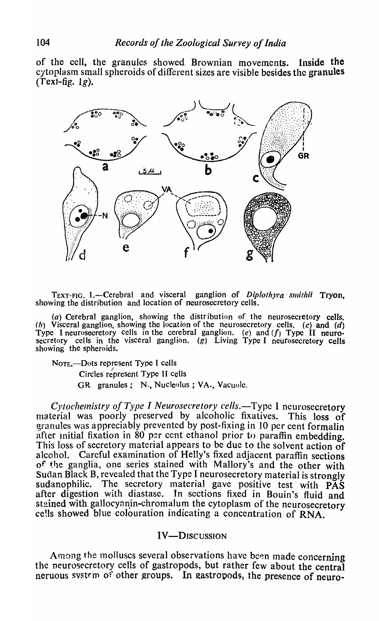of the cell, the granules showed Brownian movements. Inside the cytoplasm small spheroids of different sizes are visible besides the granules  $(Text{-}fig. 1g)$ .



TEXT-FIG. 1.—Cerebral and visceral ganglion of Diplothyra smithii Tryon, showing the distribution and location of neurosecretory cells.

(a) Cerebral ganglion, showing the distr ibution of the neurosecretory cells. (b) Visceral ganglion, showing the location of the neurosecretory cells. (c) and (d) Type I neurosecretory cells in the cerebral ganglion. (e) and (f) Type II neurosecretory cells in the visceral ganglion. (g) Living Type I neurosecretory cells showing the spheroids.

NOTE.-Dots represent Type I cells Circles represent Type II cells GR granules; N., Nucleolus; VA., Vacuole.

*Cytochemistry of Type I Neurosecretory cells.*-Type I neurosecretory material was poorly preserved by alcoholic fixatives. This loss of granules was appreciably prevented by post-fixing in 10 per cent formalin after initial fixation in 80 per cent ethanol prior to paraffin embedding. This loss of secretory material appears to be due to the solvent action of alcohol. Careful examination of Helly's fixed adjacent paraffin sections of the ganglia, one series stained with Mallory's and the other with Sudan Black B, revealed that the Type I neurosecretory material is strongly sudanophilic. The secretory material gave positive test with  $\overline{PAS}$ after digestion with diastase. In sections fixed in Bouin's fluid and stained with gallocynnin-chromalum the cytoplasm of the neurosecretory cells showed blue colouration indicating a concentration of RNA.

# IV-DISCUSSION

Among the molluscs several observations have been made concerning the neurosecretory cells of gastropods, but rather few about the central neruous system of other groups. In gastropods, the presence of neuro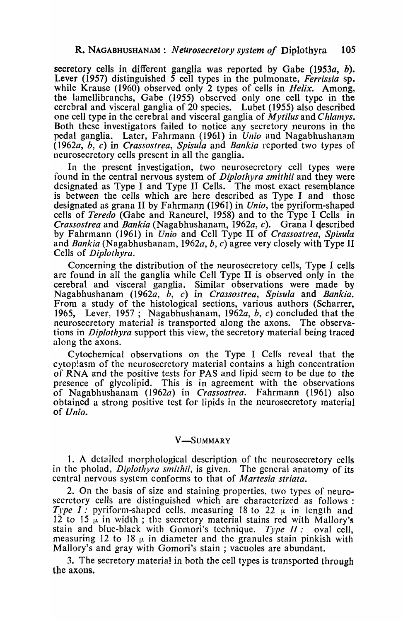secretory cells in different ganglia was reported by Gabe (1953a, b). Lever (1957) distinguished 5 cell types in the pulmonate, *Ferrissia* sp. while Krause (1960) observed only 2 types of cells in *Helix.* Among, the lamellibranchs, Gabe (1955) observed only one cell type in the cerebral and visceral ganglia of 20 species. Lubet (1955) also described one cell type in the cerebral and visceral ganglia of *Mytilus* and *Chlamys*. Both these investigators failed to notice any secretory neurons in the pedal ganglia. Later, Fahrmann (1961) in *Unio* and Nagabhushanam *(1962a, h,* c) in *Crassostrea., Spisula* and *Bankia* reported two types of neurosecretory cells present in all the ganglia.

In the present investigation, two neurosecretory cell types were found in the central nervous system of *Diplothyra smithii* and they were designated as Type I and Type II Cells. The most exact resemblance is between the cells which are here described as Type I and those designated as grana II by Fahrmann (1961) in *Unio,* the pyriform-shaped cells of *Teredo* (Gabe and Rancurel, 1958) and to the Type I Cells in *Crassostrea* and *Bankia* (Nagabhushanam, *1962a, c).* Grana I qescribed by Fahrmann (1961) in *Unio* and Cell Type II of *Crassostrea, Spisula*  and *Bankia* (Nagabhushanam, 1962a, b, c) agree very closely with Type II Cells of *Diplothyra.* 

Concerning the distribution of the neurosecretory cells, Type I cells are found in all the ganglia while Cell Type II is observed only in the cerebral and visceral ganglia. Similar observations were made by Nagabhushanam *(1962a,* b, c) in *Crassostrea, Spisula* and *Bankia.*  From a study of the histological sections, various authors (Scharrer, 1965, Lever, 1957; Nagabhushanam, 1962a, b, c) concluded that the neurosecretory material is transported along the axons. The observations in *Diplothyra* support this view, the secretory material being traced along the axons.

Cytochemical observations on the Type I Cells reveal that the cytoplasm of the neurosecretory material contains a high concentration of RNA and the positive tests for PAS and lipid seem to be due to the presence of glycolipid. This is in agreement with the observations of Nagabhushanam *(1962a)* in *Crassostrea*. Fahrmann (1961) also obtained a strong positive test for lipids in the neurosecretory material of *Uilio.* 

### V-SUMMARY

1. A detailed morphological description of the neurosecretory cells in the pholad, *Diplothyra smithii*, is given. The general anatomy of its central nervous system conforms to that of *Martesia striata*.

2. On the basis of size and staining properties, two types of neurosecretory cells are distinguished which are characterized as follows: *Type I:* pyriform-shaped cells, measuring 18 to 22  $\mu$  in length and 12 to 15  $\mu$  in width; the secretory material stains red with Mallory's stain and blue-black with Gomori's technique. *Type II:* oval cell, measuring 12 to 18  $\mu$  in diameter and the granules stain pinkish with Mallory's and gray with Gomori's stain; vacuoles are abundant.

3. The secretory material in both the cell types is transported through the axons.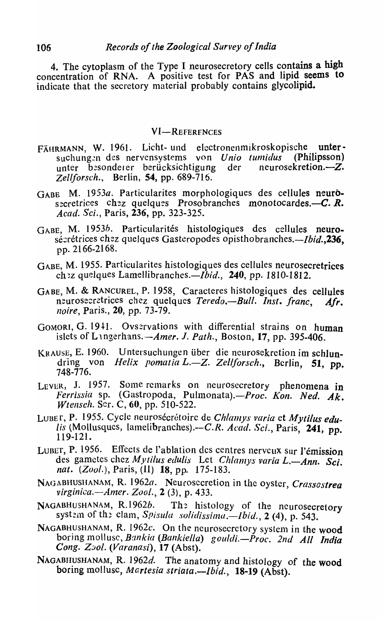4. The cytoplasm of the Type I neurosecretory cells contains a high concentration of RNA. A positive test for PAS and lipid seems to indicate that the secretory material probably contains glycolipid.

### **VI-REFERENCES**

- FÄHRMANN, W. 1961. Licht- und electronenmikroskopische untersuchungen des nervensystems von *Unio tumidus* (Philipsson)<br>unter besondeter berücksichtigung der neurosekretion.—Z. unter besondeler berücksichtigung *Zel/forsch.,* Berlin, 54, pp. 689-716.
- GABE. M. 1953a. Particularites morphologiques des cellules neurosecretrices chez quelques Prosobranches monotocardes.-C. R. *Acad. Sci.*, Paris, 236, pp. 323-325.
- GABE, M. 1953*b*. Particularités histologiques des cellules neurosécrétrices chez quelques Gasteropodes opisthobranches.—*Ibid*.,236, pp. 2166-2168.
- GABE, M. 1955. Particularites histologiques des cellules neurosecretrices ch<sup>2</sup>z quelques Lamellibranches.—*Ibid.*, 240, pp. 1810-1812.
- GABE, M. & RANCUREL, P. 1958, Caracteres histologiques des cellules neurosecretrices chez quelques *Teredo*. *-Bull. Inst. franc*, *Afr. noire,* Paris., 20, pp. 73-79.
- GOMORI, G. 1941. Ovservations with differential strains on human islets of Langerhans. $-A$ mer. J. Path., Boston, 17, pp. 395-406.
- KRAUSE, E. 1960. Untersuchungen über die neurosekretion im schlundring von *Helix pomatia L.-Z. Zellforsch.*, Berlin, 51, pp. 748-776.
- LEVER, J. 1957. Some remarks on neurosecretory phenomena in *ferrissia* sp. (Gastropoda, Pulmonata).-Proc. Kon. Ned. Ak. *Wtensch.* Ser. C, 60, pp. 510-522.
- LUBE r, P. 1955. Cycle neurosécrétoirc de *Chlamys varia* et Mytilus edu*lis* (Mollusques, lamelibranches).--C.R. *Acad. Sci.*, Paris, 241, pp. 119-121.
- LUBET, P. 1956. Effects de l'ablation des centres nerveux sur l'émission des gametes chez *Mytilus edulis* Let *Chlanys varia L.-Ann. Sci. nat. (Zool.),* Paris, (II) 18, pp. 175-183.
- NAGABHUSHANAM, R. 1962a. Neurosccretion in the oyster, *Crassostrea virginica.-Anter. Zoo/.,* 2 (3), p. 433.
- NAGABHUSHANAM, R.1962b. The histology of the neurosecretory system of the clam, Spisula solidissima.-*lbid.*, 2 (4), p. 543.
- NAGABHUSHANAM, R. 1962c. On the neurosecretory system in the wood boring mollusc, Bankia (Bankiella) gouldi.-Proc. 2nd All India *Cong. Zool. (Varanasi),* 17 (Abst).
- NAGABHUSHANAM, R. 1962d. The anatomy and histology of the wood boring mollusc, Martesia striata.-Ibid., 18-19 (Abst).